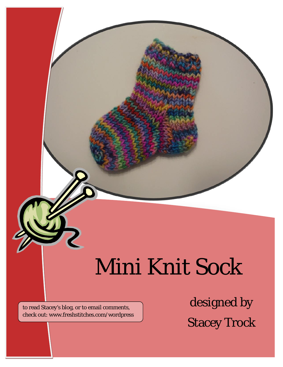# Mini Knit Sock

*This pattern has some special features.* to read Stacey's blog, or to email comments, check out: www.freshstitches.com/wordpress

*Say something interesting about this pattern!*

designed by Stacey Trock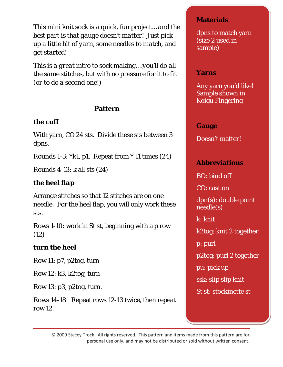*This mini knit sock is a quick, fun project… and the best part is that gauge doesn't matter! Just pick up a little bit of yarn, some needles to match, and get started!*

*This is a great intro to sock making… you'll do all the same stitches, but with no pressure for it to fit (or to do a second one!)*

#### **Pattern**

## *the cuff*

With yarn, CO 24 sts. Divide these sts between 3 dpns.

Rounds 1-3: \*k1, p1. Repeat from \* 11 times (24)

Rounds 4-13: k all sts (24)

# *the heel flap*

Arrange stitches so that 12 stitches are on one needle. For the heel flap, you will only work these sts.

Rows 1-10: work in St st, beginning with a p row (12)

## *turn the heel*

Row 11: p7, p2tog, turn

Row 12: k3, k2tog, turn

Row 13: p3, p2tog, turn.

Rows 14-18: Repeat rows 12-13 twice, then repeat row 12.

#### **Materials**

dpns to match yarn (size 2 used in sample)

#### **Yarns**

Any yarn you'd like! Sample shown in Koigu Fingering

#### **Gauge**

Doesn't matter!

## **Abbreviations**

BO: bind off CO: cast on dpn(s): double point needle(s) k: knit k2tog: knit 2 together p: purl p2tog: purl 2 together pu: pick up ssk: slip slip knit St st: stockinette st